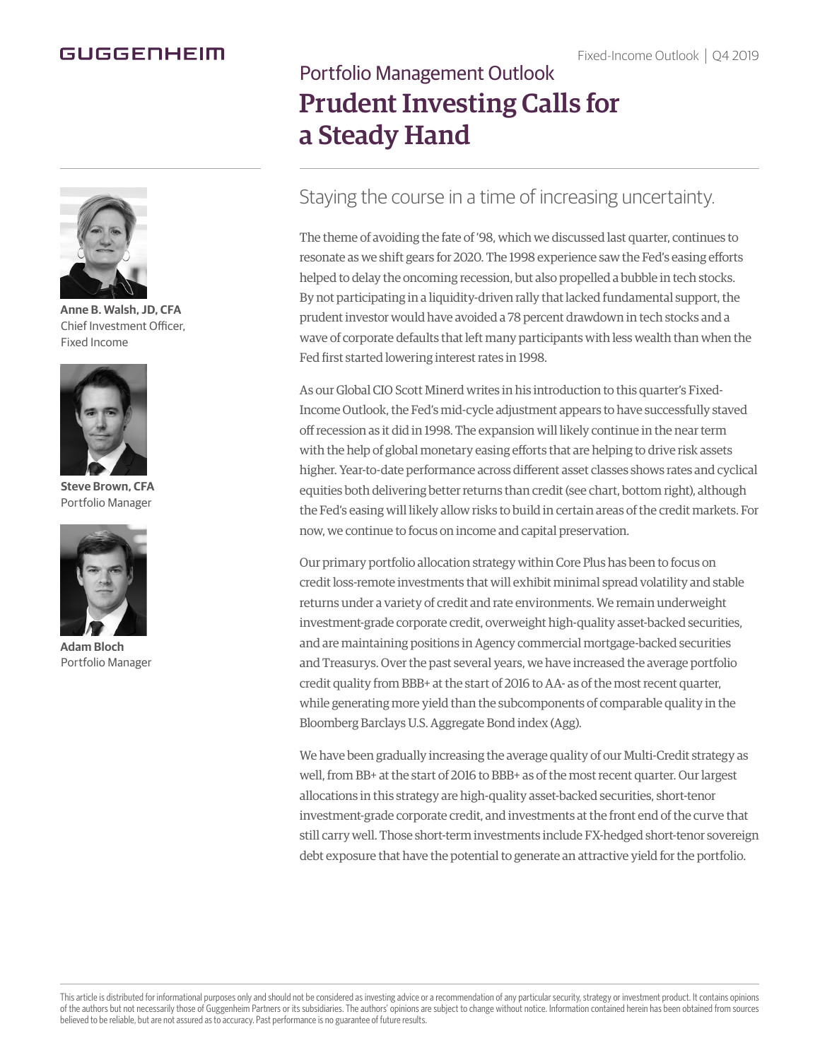### Fixed-Income Outlook | Q4 2019

## GUGGENHEIM



**Anne B. Walsh, JD, CFA** Chief Investment Officer, Fixed Income



**Steve Brown, CFA** Portfolio Manager



**Adam Bloch** Portfolio Manager

# Portfolio Management Outlook Prudent Investing Calls for a Steady Hand

# Staying the course in a time of increasing uncertainty.

The theme of avoiding the fate of '98, which we discussed last quarter, continues to resonate as we shift gears for 2020. The 1998 experience saw the Fed's easing efforts helped to delay the oncoming recession, but also propelled a bubble in tech stocks. By not participating in a liquidity-driven rally that lacked fundamental support, the prudent investor would have avoided a 78 percent drawdown in tech stocks and a wave of corporate defaults that left many participants with less wealth than when the Fed first started lowering interest rates in 1998.

As our Global CIO Scott Minerd writes in his introduction to this quarter's Fixed-Income Outlook, the Fed's mid-cycle adjustment appears to have successfully staved off recession as it did in 1998. The expansion will likely continue in the near term with the help of global monetary easing efforts that are helping to drive risk assets higher. Year-to-date performance across different asset classes shows rates and cyclical equities both delivering better returns than credit (see chart, bottom right), although the Fed's easing will likely allow risks to build in certain areas of the credit markets. For now, we continue to focus on income and capital preservation.

Our primary portfolio allocation strategy within Core Plus has been to focus on credit loss-remote investments that will exhibit minimal spread volatility and stable returns under a variety of credit and rate environments. We remain underweight investment-grade corporate credit, overweight high-quality asset-backed securities, and are maintaining positions in Agency commercial mortgage-backed securities and Treasurys. Over the past several years, we have increased the average portfolio credit quality from BBB+ at the start of 2016 to AA- as of the most recent quarter, while generating more yield than the subcomponents of comparable quality in the Bloomberg Barclays U.S. Aggregate Bond index (Agg).

We have been gradually increasing the average quality of our Multi-Credit strategy as well, from BB+ at the start of 2016 to BBB+ as of the most recent quarter. Our largest allocations in this strategy are high-quality asset-backed securities, short-tenor investment-grade corporate credit, and investments at the front end of the curve that still carry well. Those short-term investments include FX-hedged short-tenor sovereign debt exposure that have the potential to generate an attractive yield for the portfolio.

This article is distributed for informational purposes only and should not be considered as investing advice or a recommendation of any particular security, strategy or investment product. It contains opinions of the authors but not necessarily those of Guggenheim Partners or its subsidiaries. The authors' opinions are subject to change without notice. Information contained herein has been obtained from sources believed to be reliable, but are not assured as to accuracy. Past performance is no guarantee of future results.